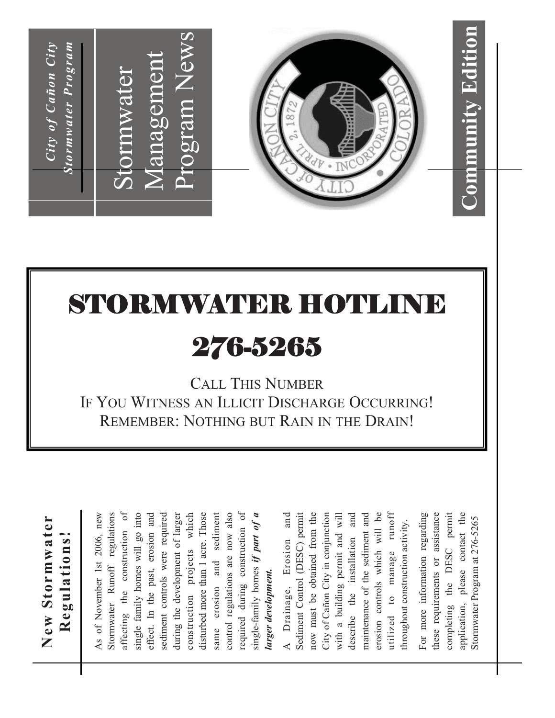

### STORMWATER HOTLINE

### 276-5265

CALL THIS NUMBER IF YOU WITNESS AN ILLICIT DISCHARGE OCCURRING! REMEMBER: NOTHING BUT RAIN IN THE DRAIN!

| New Stormwater                         |
|----------------------------------------|
| Regulations!                           |
| As of November 1st 2006, new           |
| Stormwater Runoff regulations          |
| $\sigma$<br>affecting the construction |
| single family homes will go into       |
| effect. In the past, erosion and       |
| sediment controls were required        |
| during the development of larger       |
| construction projects which            |
| disturbed more than 1 acre. Those      |
| same erosion and sediment              |
| control regulations are now also       |
| required during construction of        |
| single-family homes if part of a       |
| larger development.                    |
| and<br>A Drainage, Erosion             |
| Sediment Control (DESC) permit         |
| now must be obtained from the          |
| City of Cañon City in conjunction      |
| with a building permit and will        |
| and<br>installation<br>describe the    |

For more information regarding these requirements or assistance completing the DESC permit application, please contact the application, please contact the For more information regarding completing the DESC permit these requirements or assistance Stormwater Program at 276-5265 Stormwater Program at 276-5265 throughout construction activity. throughout construction activity.

maintenance of the sediment and erosion controls which will be utilized to manage runoff

maintenance of the sediment and

erosion controls which will be

 $\texttt{runoff}$ 

utilized to manage